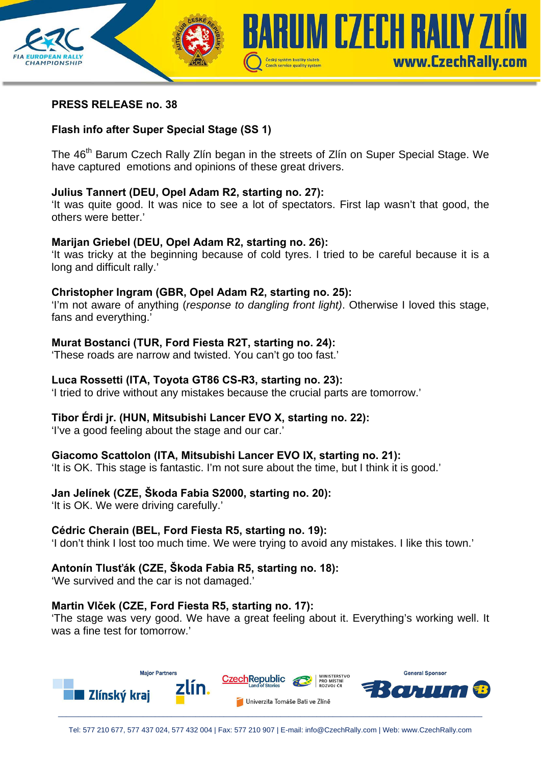

## **PRESS RELEASE no. 38**

## **Flash info after Super Special Stage (SS 1)**

The 46<sup>th</sup> Barum Czech Rally Zlín began in the streets of Zlín on Super Special Stage. We have captured emotions and opinions of these great drivers.

### **Julius Tannert (DEU, Opel Adam R2, starting no. 27):**

'It was quite good. It was nice to see a lot of spectators. First lap wasn't that good, the others were better.'

### **Marijan Griebel (DEU, Opel Adam R2, starting no. 26):**

'It was tricky at the beginning because of cold tyres. I tried to be careful because it is a long and difficult rally.'

### **Christopher Ingram (GBR, Opel Adam R2, starting no. 25):**

'I'm not aware of anything (*response to dangling front light)*. Otherwise I loved this stage, fans and everything.'

### **Murat Bostanci (TUR, Ford Fiesta R2T, starting no. 24):**

'These roads are narrow and twisted. You can't go too fast.'

### **Luca Rossetti (ITA, Toyota GT86 CS-R3, starting no. 23):**

'I tried to drive without any mistakes because the crucial parts are tomorrow.'

### **Tibor Érdi jr. (HUN, Mitsubishi Lancer EVO X, starting no. 22):**

'I've a good feeling about the stage and our car.'

### **Giacomo Scattolon (ITA, Mitsubishi Lancer EVO IX, starting no. 21):**

'It is OK. This stage is fantastic. I'm not sure about the time, but I think it is good.'

## **Jan Jelínek (CZE, Škoda Fabia S2000, starting no. 20):**

'It is OK. We were driving carefully.'

### **Cédric Cherain (BEL, Ford Fiesta R5, starting no. 19):**

'I don't think I lost too much time. We were trying to avoid any mistakes. I like this town.'

### **Antonín Tlusťák (CZE, Škoda Fabia R5, starting no. 18):**

'We survived and the car is not damaged.'

### **Martin Vlček (CZE, Ford Fiesta R5, starting no. 17):**

'The stage was very good. We have a great feeling about it. Everything's working well. It was a fine test for tomorrow.'

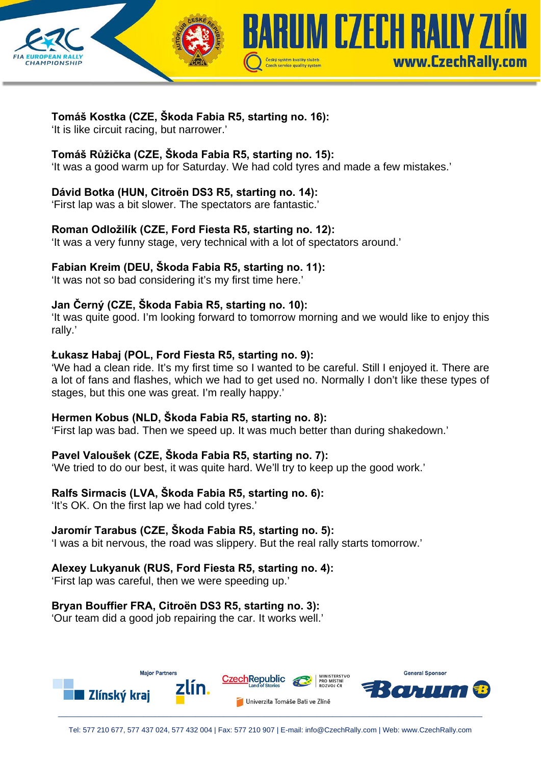



'It is like circuit racing, but narrower.'

## **Tomáš Růžička (CZE, Škoda Fabia R5, starting no. 15):**

'It was a good warm up for Saturday. We had cold tyres and made a few mistakes.'

Czech service quality system

**IM CZECH RAIIY 7** 

www.CzechRallv.com

# **Dávid Botka (HUN, Citroën DS3 R5, starting no. 14):**

'First lap was a bit slower. The spectators are fantastic.'

## **Roman Odložilík (CZE, Ford Fiesta R5, starting no. 12):**

'It was a very funny stage, very technical with a lot of spectators around.'

## **Fabian Kreim (DEU, Škoda Fabia R5, starting no. 11):**

'It was not so bad considering it's my first time here.'

# **Jan Černý (CZE, Škoda Fabia R5, starting no. 10):**

'It was quite good. I'm looking forward to tomorrow morning and we would like to enjoy this rally.'

## **Łukasz Habaj (POL, Ford Fiesta R5, starting no. 9):**

'We had a clean ride. It's my first time so I wanted to be careful. Still I enjoyed it. There are a lot of fans and flashes, which we had to get used no. Normally I don't like these types of stages, but this one was great. I'm really happy.'

## **Hermen Kobus (NLD, Škoda Fabia R5, starting no. 8):**

'First lap was bad. Then we speed up. It was much better than during shakedown.'

# **Pavel Valoušek (CZE, Škoda Fabia R5, starting no. 7):**

'We tried to do our best, it was quite hard. We'll try to keep up the good work.'

## **Ralfs Sirmacis (LVA, Škoda Fabia R5, starting no. 6):**

'It's OK. On the first lap we had cold tyres.'

## **Jaromír Tarabus (CZE, Škoda Fabia R5, starting no. 5):**

'I was a bit nervous, the road was slippery. But the real rally starts tomorrow.'

## **Alexey Lukyanuk (RUS, Ford Fiesta R5, starting no. 4):**

'First lap was careful, then we were speeding up.'

# **Bryan Bouffier FRA, Citroën DS3 R5, starting no. 3):**

'Our team did a good job repairing the car. It works well.'